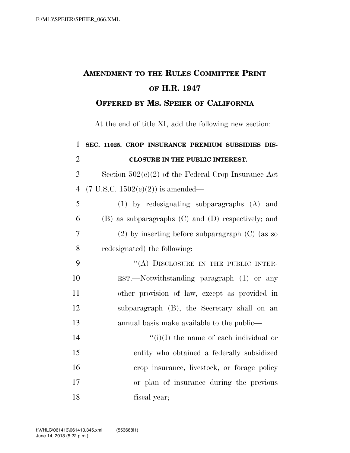## **AMENDMENT TO THE RULES COMMITTEE PRINT OF H.R. 1947**

## **OFFERED BY MS. SPEIER OF CALIFORNIA**

At the end of title XI, add the following new section:

| $\mathbf{1}$   | SEC. 11025. CROP INSURANCE PREMIUM SUBSIDIES DIS-     |
|----------------|-------------------------------------------------------|
| $\overline{2}$ | <b>CLOSURE IN THE PUBLIC INTEREST.</b>                |
| 3              | Section $502(c)(2)$ of the Federal Crop Insurance Act |
| $\overline{4}$ | $(7 \text{ U.S.C. } 1502(e)(2))$ is amended—          |
| 5              | (1) by redesignating subparagraphs (A) and            |
| 6              | (B) as subparagraphs (C) and (D) respectively; and    |
| $\overline{7}$ | $(2)$ by inserting before subparagraph $(C)$ (as so   |
| 8              | redesignated) the following:                          |
| 9              | "(A) DISCLOSURE IN THE PUBLIC INTER-                  |
| 10             | $EST.$ Notwithstanding paragraph $(1)$ or any         |
| 11             | other provision of law, except as provided in         |
| 12             | subparagraph (B), the Secretary shall on an           |
| 13             | annual basis make available to the public—            |
| 14             | $\lq\lq(i)(I)$ the name of each individual or         |
| 15             | entity who obtained a federally subsidized            |
| 16             | crop insurance, livestock, or forage policy           |
| 17             | or plan of insurance during the previous              |
| 18             | fiscal year;                                          |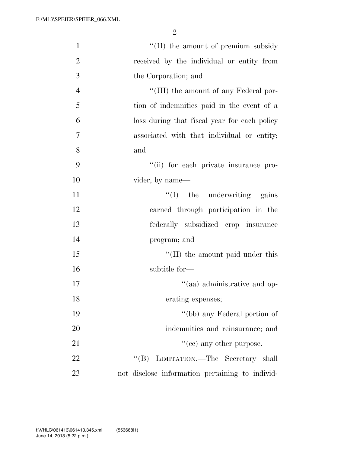2

| $\mathbf{1}$   | "(II) the amount of premium subsidy             |
|----------------|-------------------------------------------------|
| $\overline{2}$ | received by the individual or entity from       |
| 3              | the Corporation; and                            |
| $\overline{4}$ | "(III) the amount of any Federal por-           |
| 5              | tion of indemnities paid in the event of a      |
| 6              | loss during that fiscal year for each policy    |
| 7              | associated with that individual or entity;      |
| 8              | and                                             |
| 9              | "(ii) for each private insurance pro-           |
| 10             | vider, by name—                                 |
| 11             | $\lq\lq$ (I) the underwriting gains             |
| 12             | earned through participation in the             |
| 13             | federally subsidized crop insurance             |
| 14             | program; and                                    |
| 15             | "(II) the amount paid under this                |
| 16             | subtitle for-                                   |
| 17             | "(aa) administrative and op-                    |
| 18             | erating expenses;                               |
| 19             | "(bb) any Federal portion of                    |
| 20             | indemnities and reinsurance; and                |
| 21             | $\cdot\cdot$ (cc) any other purpose.            |
| 22             | LIMITATION.—The Secretary shall<br>$\lq\lq (B)$ |
| 23             | not disclose information pertaining to individ- |